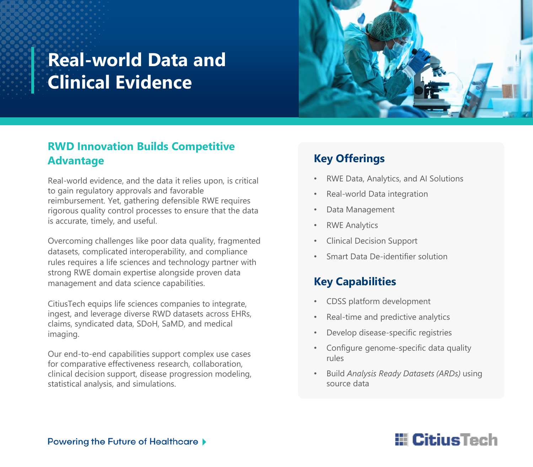# **Real-world Data and Clinical Evidence**



### **RWD Innovation Builds Competitive Advantage**

Real-world evidence, and the data it relies upon, is critical to gain regulatory approvals and favorable reimbursement. Yet, gathering defensible RWE requires rigorous quality control processes to ensure that the data is accurate, timely, and useful.

Overcoming challenges like poor data quality, fragmented datasets, complicated interoperability, and compliance rules requires a life sciences and technology partner with strong RWE domain expertise alongside proven data management and data science capabilities.

CitiusTech equips life sciences companies to integrate, ingest, and leverage diverse RWD datasets across EHRs, claims, syndicated data, SDoH, SaMD, and medical imaging.

Our end-to-end capabilities support complex use cases for comparative effectiveness research, collaboration, clinical decision support, disease progression modeling, statistical analysis, and simulations.

### **Key Offerings**

- RWE Data, Analytics, and AI Solutions
- Real-world Data integration
- Data Management
- **RWE Analytics**
- Clinical Decision Support
- Smart Data De-identifier solution

## **Key Capabilities**

- CDSS platform development
- Real-time and predictive analytics
- Develop disease-specific registries
- Configure genome-specific data quality rules
- Build *Analysis Ready Datasets (ARDs)* using source data

# **E** CitiusTech